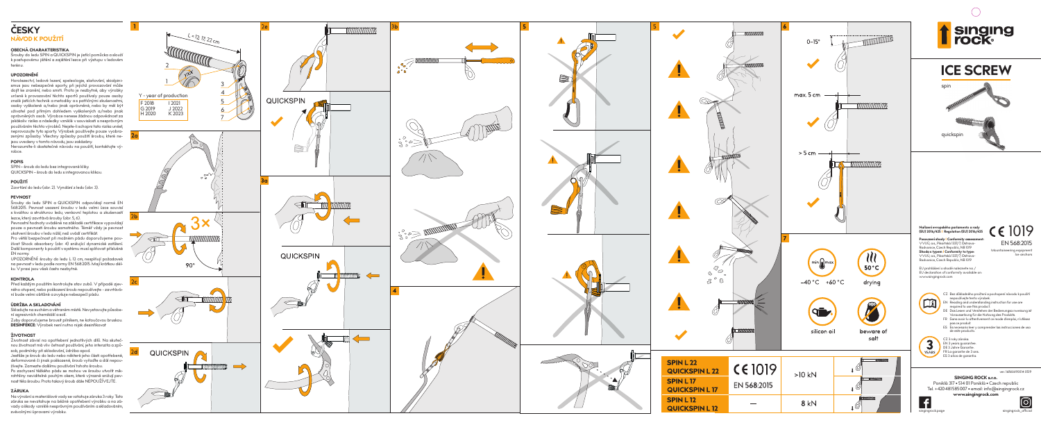## **ČESKY NÁVOD K POUŽITÍ**

### **OBECNÁ CHARAKTERISTIKA**

Šrouby do ledu SPIN a QUICKSPIN je jistící pomůcka a slouží k postupovému jištění a zajištění lezce při výstupu v ledovém terénu.

## **UPOZORNĚNÍ**

Horolezectví, ledové lezení, speleologie, slaňování, skialpini smus jsou nebezpečné sporty, při jejichž provozování může dojít ke zranění, nebo smrti. Proto je nezbytné, aby výrobky určené k provozování těchto sportů používaly pouze osoby znalé jistících technik a metodiky a s patřičnými zkušenostmi, osoby vyškolené a/nebo jinak oprávněné, nebo by měl být uživatel pod přímým dohledem vyškolených a/nebo jinak oprávněných osob. Výrobce nenese žádnou odpovědnost za jakákoliv rizika a následky vzniklé v souvislosti s nesprávným používáním těchto výrobků. Nejste-li schopni tato rizika unést, neprovozujte tyto sporty. Výrobek používejte pouze vyobra zenými způsoby. Všechny způsoby použití šroubu, které ne jsou uvedeny v tomto návodu, jsou zakázány.

Nerozumíte-li dostatečně návodu na použití, kontaktujte vý robce.



### **POPIS**

SPIN – šroub do ledu bez integrované kliky. QUICKSPIN – šroub do ledu s integrovanou klikou.

## **POUŽITÍ**

## **PEVNOST**

Šrouby do ledu SPIN a QUICKSPIN odpovídají normě EN 568:2015. Pevnost usazení šroubu v ledu velmi úzce souvisí s kvalitou a strukturou ledu, venkovní teplotou a zkušeností lezce, který zavrtává šrouby (obr. 5, 6). Pevnostní hodnoty uváděné na základě certifikace vypovídají

pouze o pevnosti šroubu samotného. Téměř vždy je pevnost ukotvení šroubu v ledu nižší, než uvádí certifikát.

Pro větší bezpečnost při možném pádu doporučujeme pou žívat Shock absorbery (obr. 4) snižující dynamické zatížení. Další komponenty k použití v systému musí splňovat příslušné EN normy.

UPOZORNĚNÍ: šrouby do ledu L 12 cm, nesplňují požadavek na pevnost v ledu podle normy EN 568:2015. Mají krátkou dél ku. V praxi jsou však často nezbytné.

### **KONTROLA**

Před každým použitím kontrolujte stav zubů. V případě zjev ného otupení, nebo poškození šroub nepoužívejte - zavrtává ní bude velmi obtížné a zvyšuje nebezpečí pádu.

### **ÚDRŽBA A SKLADOVÁNÍ**

Skladujte na suchém a větraném místě. Nevystavujte působe ní agresivních chemikálií a solí. Zuby doporučujeme brousit pilníkem, ne kotoučovou bruskou.

## **ŽIVOTNOST**

Životnost závisí na opotřebení jednotlivých dílů. Na skuteč nou životnost má vliv četnost používání, jeho intenzita a způ sob, podmínky při skladování, údržba apod. Jestliže je šroub do ledu nebo některé jeho části opotřebené, deformované či jinak poškozené, šroub vyřaďte a dál nepou žívejte. Zamezte dalšímu používání tohoto šroubu. Po zachycení těžkého pádu se mohou ve šroubu utvořit mik rotrhliny neviditelné pouhým okem, které výrazně snižují pev nost těla šroubu. Proto takový šroub dále NEPOUŽÍVEJTE.

![](_page_0_Figure_23.jpeg)

![](_page_0_Figure_24.jpeg)

## **ZÁRUKA**

Na výrobní a materiálové vady se vztahuje záruka 3 roky. Tato záruka se nevztahuje na běžné opotřebení výrobku a na zá vady a škody vzniklé nesprávným používáním a skladováním, svévolnými úpravami výrobku.